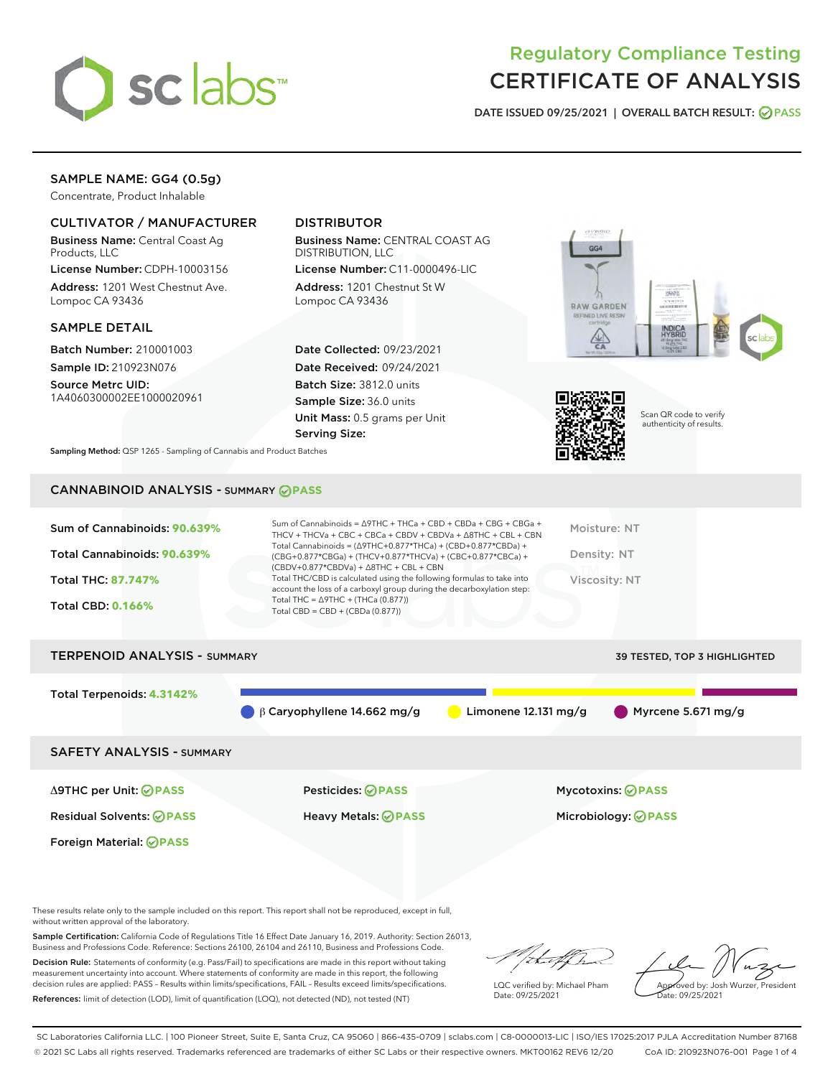

# Regulatory Compliance Testing CERTIFICATE OF ANALYSIS

DATE ISSUED 09/25/2021 | OVERALL BATCH RESULT: @ PASS

## SAMPLE NAME: GG4 (0.5g)

Concentrate, Product Inhalable

## CULTIVATOR / MANUFACTURER

Business Name: Central Coast Ag Products, LLC

License Number: CDPH-10003156 Address: 1201 West Chestnut Ave. Lompoc CA 93436

#### SAMPLE DETAIL

Batch Number: 210001003 Sample ID: 210923N076

Source Metrc UID: 1A4060300002EE1000020961

## DISTRIBUTOR

Business Name: CENTRAL COAST AG DISTRIBUTION, LLC

License Number: C11-0000496-LIC Address: 1201 Chestnut St W Lompoc CA 93436

Date Collected: 09/23/2021 Date Received: 09/24/2021 Batch Size: 3812.0 units Sample Size: 36.0 units Unit Mass: 0.5 grams per Unit Serving Size:





Scan QR code to verify authenticity of results.

Sampling Method: QSP 1265 - Sampling of Cannabis and Product Batches

## CANNABINOID ANALYSIS - SUMMARY **PASS**

| Sum of Cannabinoids: 90.639% | Sum of Cannabinoids = $\triangle$ 9THC + THCa + CBD + CBDa + CBG + CBGa +<br>THCV + THCVa + CBC + CBCa + CBDV + CBDVa + $\Delta$ 8THC + CBL + CBN                                    | Moisture: NT  |
|------------------------------|--------------------------------------------------------------------------------------------------------------------------------------------------------------------------------------|---------------|
| Total Cannabinoids: 90.639%  | Total Cannabinoids = $(\Delta$ 9THC+0.877*THCa) + (CBD+0.877*CBDa) +<br>(CBG+0.877*CBGa) + (THCV+0.877*THCVa) + (CBC+0.877*CBCa) +<br>$(CBDV+0.877*CBDVa) + \Delta 8THC + CBL + CBN$ | Density: NT   |
| <b>Total THC: 87.747%</b>    | Total THC/CBD is calculated using the following formulas to take into<br>account the loss of a carboxyl group during the decarboxylation step:                                       | Viscosity: NT |
| <b>Total CBD: 0.166%</b>     | Total THC = $\triangle$ 9THC + (THCa (0.877))<br>Total CBD = $CBD + (CBDa (0.877))$                                                                                                  |               |
|                              |                                                                                                                                                                                      |               |

| <b>TERPENOID ANALYSIS - SUMMARY</b> |                                              |                                | 39 TESTED, TOP 3 HIGHLIGHTED |
|-------------------------------------|----------------------------------------------|--------------------------------|------------------------------|
| Total Terpenoids: 4.3142%           |                                              |                                |                              |
|                                     | $\bigcirc$ $\beta$ Caryophyllene 14.662 mg/g | Limonene $12.131 \text{ mg/g}$ | Myrcene 5.671 mg/g           |
| <b>SAFETY ANALYSIS - SUMMARY</b>    |                                              |                                |                              |
|                                     |                                              |                                |                              |

Foreign Material: **PASS**

Δ9THC per Unit: **PASS** Pesticides: **PASS** Mycotoxins: **PASS**

Residual Solvents: **PASS** Heavy Metals: **PASS** Microbiology: **PASS**

These results relate only to the sample included on this report. This report shall not be reproduced, except in full, without written approval of the laboratory.

Sample Certification: California Code of Regulations Title 16 Effect Date January 16, 2019. Authority: Section 26013, Business and Professions Code. Reference: Sections 26100, 26104 and 26110, Business and Professions Code.

Decision Rule: Statements of conformity (e.g. Pass/Fail) to specifications are made in this report without taking measurement uncertainty into account. Where statements of conformity are made in this report, the following decision rules are applied: PASS – Results within limits/specifications, FAIL – Results exceed limits/specifications. References: limit of detection (LOD), limit of quantification (LOQ), not detected (ND), not tested (NT)

that f h

LQC verified by: Michael Pham Date: 09/25/2021

Approved by: Josh Wurzer, President ate: 09/25/2021

SC Laboratories California LLC. | 100 Pioneer Street, Suite E, Santa Cruz, CA 95060 | 866-435-0709 | sclabs.com | C8-0000013-LIC | ISO/IES 17025:2017 PJLA Accreditation Number 87168 © 2021 SC Labs all rights reserved. Trademarks referenced are trademarks of either SC Labs or their respective owners. MKT00162 REV6 12/20 CoA ID: 210923N076-001 Page 1 of 4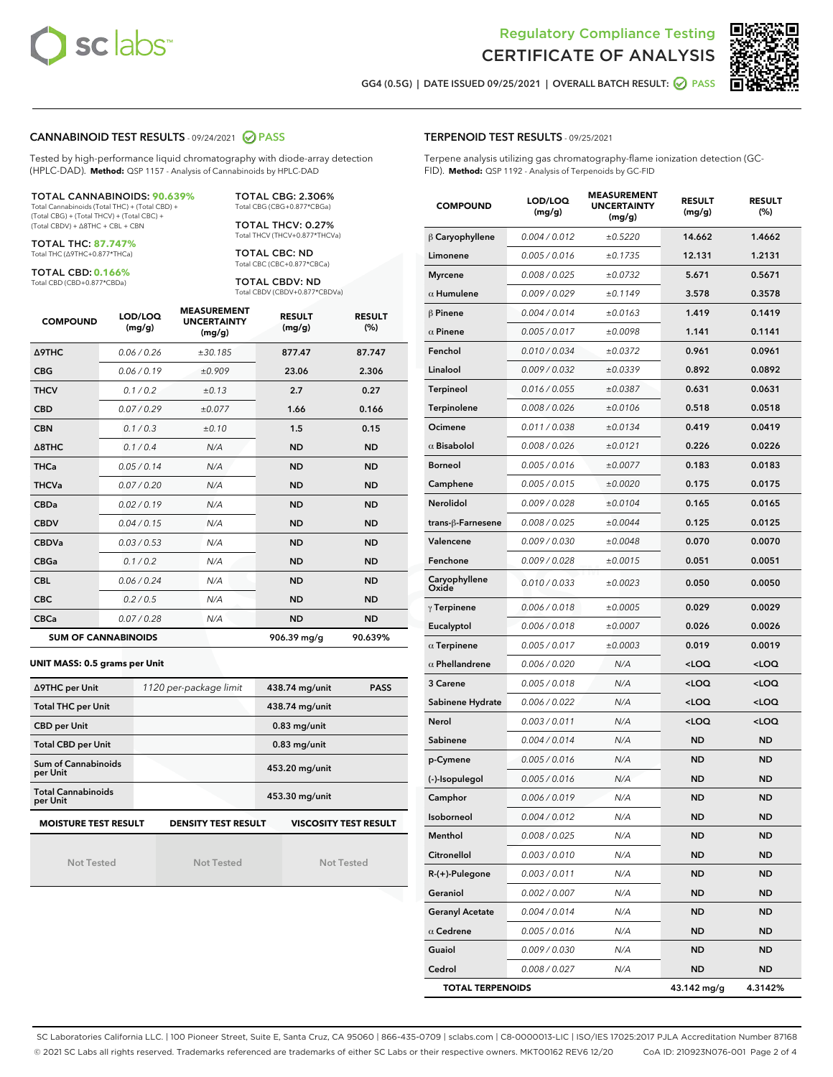



GG4 (0.5G) | DATE ISSUED 09/25/2021 | OVERALL BATCH RESULT: 2 PASS

#### CANNABINOID TEST RESULTS - 09/24/2021 2 PASS

Tested by high-performance liquid chromatography with diode-array detection (HPLC-DAD). **Method:** QSP 1157 - Analysis of Cannabinoids by HPLC-DAD

TOTAL CANNABINOIDS: **90.639%** Total Cannabinoids (Total THC) + (Total CBD) +

(Total CBG) + (Total THCV) + (Total CBC) + (Total CBDV) + ∆8THC + CBL + CBN

TOTAL THC: **87.747%** Total THC (∆9THC+0.877\*THCa)

TOTAL CBD: **0.166%**

Total CBD (CBD+0.877\*CBDa)

TOTAL CBG: 2.306% Total CBG (CBG+0.877\*CBGa)

TOTAL THCV: 0.27% Total THCV (THCV+0.877\*THCVa)

TOTAL CBC: ND Total CBC (CBC+0.877\*CBCa)

TOTAL CBDV: ND Total CBDV (CBDV+0.877\*CBDVa)

| <b>COMPOUND</b>  | LOD/LOQ<br>(mg/g)          | <b>MEASUREMENT</b><br><b>UNCERTAINTY</b><br>(mg/g) | <b>RESULT</b><br>(mg/g) | <b>RESULT</b><br>(%) |
|------------------|----------------------------|----------------------------------------------------|-------------------------|----------------------|
| Δ9THC            | 0.06 / 0.26                | ±30.185                                            | 877.47                  | 87.747               |
| <b>CBG</b>       | 0.06/0.19                  | ±0.909                                             | 23.06                   | 2.306                |
| <b>THCV</b>      | 0.1 / 0.2                  | ±0.13                                              | 2.7                     | 0.27                 |
| <b>CBD</b>       | 0.07/0.29                  | ±0.077                                             | 1.66                    | 0.166                |
| <b>CBN</b>       | 0.1/0.3                    | ±0.10                                              | 1.5                     | 0.15                 |
| $\triangle$ 8THC | 0.1/0.4                    | N/A                                                | <b>ND</b>               | <b>ND</b>            |
| <b>THCa</b>      | 0.05/0.14                  | N/A                                                | <b>ND</b>               | <b>ND</b>            |
| <b>THCVa</b>     | 0.07 / 0.20                | N/A                                                | <b>ND</b>               | <b>ND</b>            |
| <b>CBDa</b>      | 0.02/0.19                  | N/A                                                | <b>ND</b>               | <b>ND</b>            |
| <b>CBDV</b>      | 0.04 / 0.15                | N/A                                                | <b>ND</b>               | <b>ND</b>            |
| <b>CBDVa</b>     | 0.03 / 0.53                | N/A                                                | <b>ND</b>               | <b>ND</b>            |
| <b>CBGa</b>      | 0.1/0.2                    | N/A                                                | <b>ND</b>               | <b>ND</b>            |
| <b>CBL</b>       | 0.06 / 0.24                | N/A                                                | <b>ND</b>               | <b>ND</b>            |
| <b>CBC</b>       | 0.2 / 0.5                  | N/A                                                | <b>ND</b>               | <b>ND</b>            |
| <b>CBCa</b>      | 0.07 / 0.28                | N/A                                                | <b>ND</b>               | <b>ND</b>            |
|                  | <b>SUM OF CANNABINOIDS</b> |                                                    | 906.39 mg/g             | 90.639%              |

#### **UNIT MASS: 0.5 grams per Unit**

| ∆9THC per Unit                                                                            | 1120 per-package limit | 438.74 mg/unit<br><b>PASS</b> |  |  |  |
|-------------------------------------------------------------------------------------------|------------------------|-------------------------------|--|--|--|
| <b>Total THC per Unit</b>                                                                 |                        | 438.74 mg/unit                |  |  |  |
| <b>CBD per Unit</b>                                                                       |                        | $0.83$ mg/unit                |  |  |  |
| <b>Total CBD per Unit</b>                                                                 |                        | $0.83$ mg/unit                |  |  |  |
| Sum of Cannabinoids<br>per Unit                                                           |                        | 453.20 mg/unit                |  |  |  |
| <b>Total Cannabinoids</b><br>per Unit                                                     |                        | 453.30 mg/unit                |  |  |  |
| <b>MOISTURE TEST RESULT</b><br><b>DENSITY TEST RESULT</b><br><b>VISCOSITY TEST RESULT</b> |                        |                               |  |  |  |

Not Tested

Not Tested

Not Tested

Terpene analysis utilizing gas chromatography-flame ionization detection (GC-FID). **Method:** QSP 1192 - Analysis of Terpenoids by GC-FID

| <b>COMPOUND</b>         | LOD/LOQ<br>(mg/g) | <b>MEASUREMENT</b><br><b>UNCERTAINTY</b><br>(mg/g) | <b>RESULT</b><br>(mg/g)                         | <b>RESULT</b><br>(%) |
|-------------------------|-------------------|----------------------------------------------------|-------------------------------------------------|----------------------|
| $\beta$ Caryophyllene   | 0.004 / 0.012     | ±0.5220                                            | 14.662                                          | 1.4662               |
| Limonene                | 0.005 / 0.016     | ±0.1735                                            | 12.131                                          | 1.2131               |
| <b>Myrcene</b>          | 0.008 / 0.025     | ±0.0732                                            | 5.671                                           | 0.5671               |
| $\alpha$ Humulene       | 0.009 / 0.029     | ±0.1149                                            | 3.578                                           | 0.3578               |
| $\beta$ Pinene          | 0.004 / 0.014     | ±0.0163                                            | 1.419                                           | 0.1419               |
| $\alpha$ Pinene         | 0.005 / 0.017     | ±0.0098                                            | 1.141                                           | 0.1141               |
| Fenchol                 | 0.010 / 0.034     | ±0.0372                                            | 0.961                                           | 0.0961               |
| Linalool                | 0.009 / 0.032     | ±0.0339                                            | 0.892                                           | 0.0892               |
| Terpineol               | 0.016 / 0.055     | ±0.0387                                            | 0.631                                           | 0.0631               |
| Terpinolene             | 0.008 / 0.026     | ±0.0106                                            | 0.518                                           | 0.0518               |
| Ocimene                 | 0.011 / 0.038     | ±0.0134                                            | 0.419                                           | 0.0419               |
| $\alpha$ Bisabolol      | 0.008 / 0.026     | ±0.0121                                            | 0.226                                           | 0.0226               |
| <b>Borneol</b>          | 0.005 / 0.016     | ±0.0077                                            | 0.183                                           | 0.0183               |
| Camphene                | 0.005 / 0.015     | ±0.0020                                            | 0.175                                           | 0.0175               |
| Nerolidol               | 0.009 / 0.028     | ±0.0104                                            | 0.165                                           | 0.0165               |
| trans-ß-Farnesene       | 0.008 / 0.025     | ±0.0044                                            | 0.125                                           | 0.0125               |
| Valencene               | 0.009 / 0.030     | ±0.0048                                            | 0.070                                           | 0.0070               |
| Fenchone                | 0.009 / 0.028     | ±0.0015                                            | 0.051                                           | 0.0051               |
| Caryophyllene<br>Oxide  | 0.010 / 0.033     | ±0.0023                                            | 0.050                                           | 0.0050               |
| $\gamma$ Terpinene      | 0.006 / 0.018     | ±0.0005                                            | 0.029                                           | 0.0029               |
| Eucalyptol              | 0.006 / 0.018     | ±0.0007                                            | 0.026                                           | 0.0026               |
| $\alpha$ Terpinene      | 0.005 / 0.017     | ±0.0003                                            | 0.019                                           | 0.0019               |
| $\alpha$ Phellandrene   | 0.006 / 0.020     | N/A                                                | <loq< th=""><th><loq< th=""></loq<></th></loq<> | <loq< th=""></loq<>  |
| 3 Carene                | 0.005 / 0.018     | N/A                                                | $<$ LOQ                                         | $<$ LOQ              |
| Sabinene Hydrate        | 0.006 / 0.022     | N/A                                                | <loq< th=""><th><loq< th=""></loq<></th></loq<> | <loq< th=""></loq<>  |
| Nerol                   | 0.003 / 0.011     | N/A                                                | <loq< th=""><th><loq< th=""></loq<></th></loq<> | <loq< th=""></loq<>  |
| Sabinene                | 0.004 / 0.014     | N/A                                                | ND                                              | <b>ND</b>            |
| p-Cymene                | 0.005 / 0.016     | N/A                                                | ND                                              | <b>ND</b>            |
| (-)-Isopulegol          | 0.005 / 0.016     | N/A                                                | <b>ND</b>                                       | ND                   |
| Camphor                 | 0.006 / 0.019     | N/A                                                | <b>ND</b>                                       | <b>ND</b>            |
| Isoborneol              | 0.004 / 0.012     | N/A                                                | ND                                              | ND                   |
| Menthol                 | 0.008 / 0.025     | N/A                                                | ND                                              | ND                   |
| Citronellol             | 0.003 / 0.010     | N/A                                                | ND                                              | <b>ND</b>            |
| R-(+)-Pulegone          | 0.003 / 0.011     | N/A                                                | <b>ND</b>                                       | ND                   |
| Geraniol                | 0.002 / 0.007     | N/A                                                | ND                                              | ND                   |
| <b>Geranyl Acetate</b>  | 0.004 / 0.014     | N/A                                                | ND                                              | <b>ND</b>            |
| $\alpha$ Cedrene        | 0.005 / 0.016     | N/A                                                | <b>ND</b>                                       | ND                   |
| Guaiol                  | 0.009 / 0.030     | N/A                                                | ND                                              | ND                   |
| Cedrol                  | 0.008 / 0.027     | N/A                                                | <b>ND</b>                                       | ND                   |
| <b>TOTAL TERPENOIDS</b> |                   |                                                    | 43.142 mg/g                                     | 4.3142%              |

SC Laboratories California LLC. | 100 Pioneer Street, Suite E, Santa Cruz, CA 95060 | 866-435-0709 | sclabs.com | C8-0000013-LIC | ISO/IES 17025:2017 PJLA Accreditation Number 87168 © 2021 SC Labs all rights reserved. Trademarks referenced are trademarks of either SC Labs or their respective owners. MKT00162 REV6 12/20 CoA ID: 210923N076-001 Page 2 of 4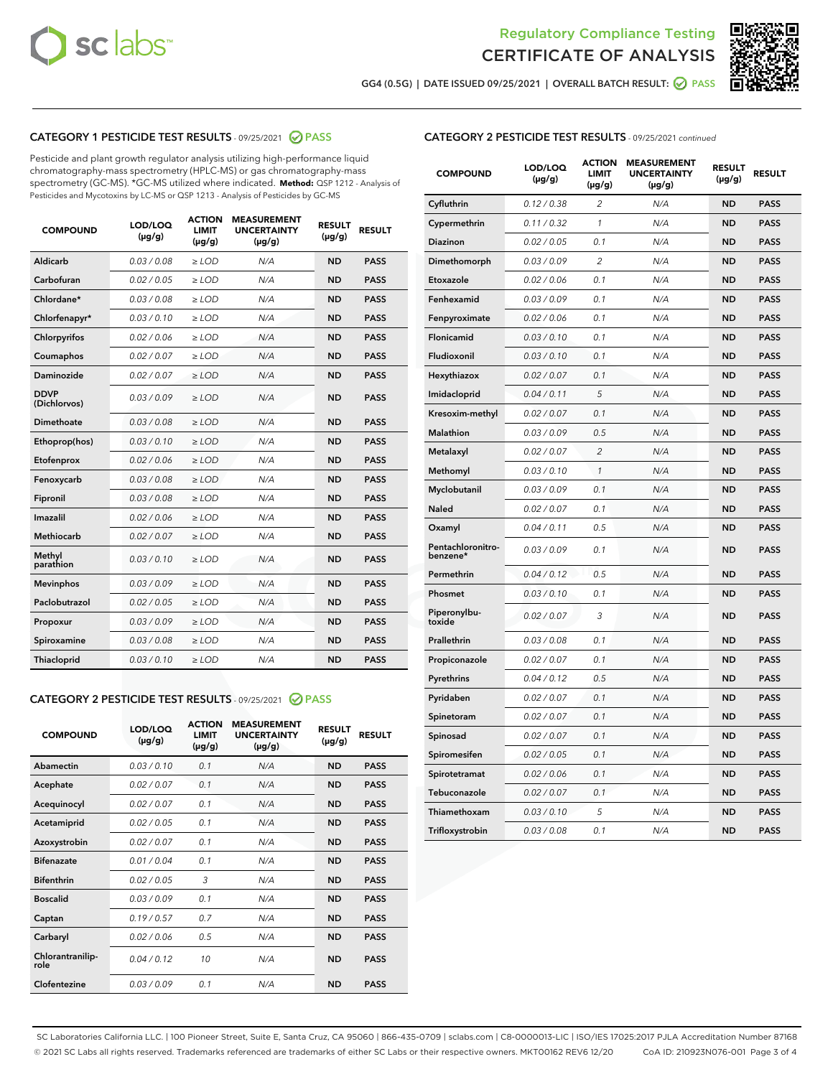



GG4 (0.5G) | DATE ISSUED 09/25/2021 | OVERALL BATCH RESULT: 2 PASS

## CATEGORY 1 PESTICIDE TEST RESULTS - 09/25/2021 2 PASS

Pesticide and plant growth regulator analysis utilizing high-performance liquid chromatography-mass spectrometry (HPLC-MS) or gas chromatography-mass spectrometry (GC-MS). \*GC-MS utilized where indicated. **Method:** QSP 1212 - Analysis of Pesticides and Mycotoxins by LC-MS or QSP 1213 - Analysis of Pesticides by GC-MS

| <b>COMPOUND</b>             | LOD/LOQ<br>$(\mu g/g)$ | <b>ACTION</b><br><b>LIMIT</b><br>$(\mu g/g)$ | <b>MEASUREMENT</b><br><b>UNCERTAINTY</b><br>$(\mu g/g)$ | <b>RESULT</b><br>$(\mu g/g)$ | <b>RESULT</b> |
|-----------------------------|------------------------|----------------------------------------------|---------------------------------------------------------|------------------------------|---------------|
| Aldicarb                    | 0.03 / 0.08            | $\ge$ LOD                                    | N/A                                                     | <b>ND</b>                    | <b>PASS</b>   |
| Carbofuran                  | 0.02 / 0.05            | $\ge$ LOD                                    | N/A                                                     | <b>ND</b>                    | <b>PASS</b>   |
| Chlordane*                  | 0.03 / 0.08            | $\ge$ LOD                                    | N/A                                                     | <b>ND</b>                    | <b>PASS</b>   |
| Chlorfenapyr*               | 0.03/0.10              | $\ge$ LOD                                    | N/A                                                     | <b>ND</b>                    | <b>PASS</b>   |
| Chlorpyrifos                | 0.02 / 0.06            | $\ge$ LOD                                    | N/A                                                     | <b>ND</b>                    | <b>PASS</b>   |
| Coumaphos                   | 0.02 / 0.07            | $\ge$ LOD                                    | N/A                                                     | <b>ND</b>                    | <b>PASS</b>   |
| Daminozide                  | 0.02 / 0.07            | $\ge$ LOD                                    | N/A                                                     | <b>ND</b>                    | <b>PASS</b>   |
| <b>DDVP</b><br>(Dichlorvos) | 0.03/0.09              | $\ge$ LOD                                    | N/A                                                     | <b>ND</b>                    | <b>PASS</b>   |
| Dimethoate                  | 0.03 / 0.08            | $\ge$ LOD                                    | N/A                                                     | <b>ND</b>                    | <b>PASS</b>   |
| Ethoprop(hos)               | 0.03/0.10              | $\ge$ LOD                                    | N/A                                                     | <b>ND</b>                    | <b>PASS</b>   |
| Etofenprox                  | 0.02/0.06              | $>$ LOD                                      | N/A                                                     | <b>ND</b>                    | <b>PASS</b>   |
| Fenoxycarb                  | 0.03 / 0.08            | $>$ LOD                                      | N/A                                                     | <b>ND</b>                    | <b>PASS</b>   |
| Fipronil                    | 0.03 / 0.08            | $>$ LOD                                      | N/A                                                     | <b>ND</b>                    | <b>PASS</b>   |
| Imazalil                    | 0.02 / 0.06            | $\ge$ LOD                                    | N/A                                                     | <b>ND</b>                    | <b>PASS</b>   |
| <b>Methiocarb</b>           | 0.02 / 0.07            | $\ge$ LOD                                    | N/A                                                     | <b>ND</b>                    | <b>PASS</b>   |
| Methyl<br>parathion         | 0.03/0.10              | $\ge$ LOD                                    | N/A                                                     | <b>ND</b>                    | <b>PASS</b>   |
| <b>Mevinphos</b>            | 0.03/0.09              | $\ge$ LOD                                    | N/A                                                     | <b>ND</b>                    | <b>PASS</b>   |
| Paclobutrazol               | 0.02 / 0.05            | $\ge$ LOD                                    | N/A                                                     | <b>ND</b>                    | <b>PASS</b>   |
| Propoxur                    | 0.03/0.09              | $\ge$ LOD                                    | N/A                                                     | <b>ND</b>                    | <b>PASS</b>   |
| Spiroxamine                 | 0.03 / 0.08            | $\ge$ LOD                                    | N/A                                                     | <b>ND</b>                    | <b>PASS</b>   |
| Thiacloprid                 | 0.03/0.10              | $\ge$ LOD                                    | N/A                                                     | <b>ND</b>                    | <b>PASS</b>   |

#### CATEGORY 2 PESTICIDE TEST RESULTS - 09/25/2021 @ PASS

| <b>COMPOUND</b>          | LOD/LOO<br>$(\mu g/g)$ | <b>ACTION</b><br>LIMIT<br>$(\mu g/g)$ | <b>MEASUREMENT</b><br><b>UNCERTAINTY</b><br>$(\mu g/g)$ | <b>RESULT</b><br>$(\mu g/g)$ | <b>RESULT</b> |  |
|--------------------------|------------------------|---------------------------------------|---------------------------------------------------------|------------------------------|---------------|--|
| Abamectin                | 0.03/0.10              | 0.1                                   | N/A                                                     | <b>ND</b>                    | <b>PASS</b>   |  |
| Acephate                 | 0.02/0.07              | 0.1                                   | N/A                                                     | <b>ND</b>                    | <b>PASS</b>   |  |
| Acequinocyl              | 0.02/0.07              | 0.1                                   | N/A                                                     | <b>ND</b>                    | <b>PASS</b>   |  |
| Acetamiprid              | 0.02/0.05              | 0.1                                   | N/A                                                     | <b>ND</b>                    | <b>PASS</b>   |  |
| Azoxystrobin             | 0.02/0.07              | 0.1                                   | N/A                                                     | <b>ND</b>                    | <b>PASS</b>   |  |
| <b>Bifenazate</b>        | 0.01 / 0.04            | 0.1                                   | N/A                                                     | <b>ND</b>                    | <b>PASS</b>   |  |
| <b>Bifenthrin</b>        | 0.02/0.05              | 3                                     | N/A                                                     | <b>ND</b>                    | <b>PASS</b>   |  |
| <b>Boscalid</b>          | 0.03/0.09              | 0.1                                   | N/A                                                     | <b>ND</b>                    | <b>PASS</b>   |  |
| Captan                   | 0.19/0.57              | 0.7                                   | N/A                                                     | <b>ND</b>                    | <b>PASS</b>   |  |
| Carbaryl                 | 0.02/0.06              | 0.5                                   | N/A                                                     | <b>ND</b>                    | <b>PASS</b>   |  |
| Chlorantranilip-<br>role | 0.04/0.12              | 10                                    | N/A                                                     | <b>ND</b>                    | <b>PASS</b>   |  |
| Clofentezine             | 0.03/0.09              | 0.1                                   | N/A                                                     | <b>ND</b>                    | <b>PASS</b>   |  |

| <b>CATEGORY 2 PESTICIDE TEST RESULTS</b> - 09/25/2021 continued |  |  |
|-----------------------------------------------------------------|--|--|
|                                                                 |  |  |

| <b>COMPOUND</b>               | LOD/LOQ<br>(µg/g) | <b>ACTION</b><br>LIMIT<br>$(\mu g/g)$ | <b>MEASUREMENT</b><br><b>UNCERTAINTY</b><br>(µg/g) | <b>RESULT</b><br>(µg/g) | <b>RESULT</b> |
|-------------------------------|-------------------|---------------------------------------|----------------------------------------------------|-------------------------|---------------|
| Cyfluthrin                    | 0.12 / 0.38       | 2                                     | N/A                                                | <b>ND</b>               | <b>PASS</b>   |
| Cypermethrin                  | 0.11 / 0.32       | $\mathcal{I}$                         | N/A                                                | <b>ND</b>               | <b>PASS</b>   |
| Diazinon                      | 0.02 / 0.05       | 0.1                                   | N/A                                                | ND                      | <b>PASS</b>   |
| Dimethomorph                  | 0.03 / 0.09       | 2                                     | N/A                                                | <b>ND</b>               | <b>PASS</b>   |
| Etoxazole                     | 0.02 / 0.06       | 0.1                                   | N/A                                                | <b>ND</b>               | <b>PASS</b>   |
| Fenhexamid                    | 0.03 / 0.09       | 0.1                                   | N/A                                                | <b>ND</b>               | <b>PASS</b>   |
| Fenpyroximate                 | 0.02 / 0.06       | 0.1                                   | N/A                                                | <b>ND</b>               | <b>PASS</b>   |
| Flonicamid                    | 0.03 / 0.10       | 0.1                                   | N/A                                                | <b>ND</b>               | <b>PASS</b>   |
| Fludioxonil                   | 0.03 / 0.10       | 0.1                                   | N/A                                                | <b>ND</b>               | <b>PASS</b>   |
| Hexythiazox                   | 0.02 / 0.07       | 0.1                                   | N/A                                                | <b>ND</b>               | <b>PASS</b>   |
| Imidacloprid                  | 0.04 / 0.11       | 5                                     | N/A                                                | <b>ND</b>               | <b>PASS</b>   |
| Kresoxim-methyl               | 0.02 / 0.07       | 0.1                                   | N/A                                                | <b>ND</b>               | <b>PASS</b>   |
| <b>Malathion</b>              | 0.03 / 0.09       | 0.5                                   | N/A                                                | <b>ND</b>               | <b>PASS</b>   |
| Metalaxyl                     | 0.02 / 0.07       | $\overline{2}$                        | N/A                                                | <b>ND</b>               | <b>PASS</b>   |
| Methomyl                      | 0.03 / 0.10       | 1                                     | N/A                                                | <b>ND</b>               | <b>PASS</b>   |
| Myclobutanil                  | 0.03 / 0.09       | 0.1                                   | N/A                                                | <b>ND</b>               | <b>PASS</b>   |
| Naled                         | 0.02 / 0.07       | 0.1                                   | N/A                                                | <b>ND</b>               | <b>PASS</b>   |
| Oxamyl                        | 0.04 / 0.11       | 0.5                                   | N/A                                                | <b>ND</b>               | <b>PASS</b>   |
| Pentachloronitro-<br>benzene* | 0.03 / 0.09       | 0.1                                   | N/A                                                | <b>ND</b>               | <b>PASS</b>   |
| Permethrin                    | 0.04 / 0.12       | 0.5                                   | N/A                                                | <b>ND</b>               | <b>PASS</b>   |
| Phosmet                       | 0.03/0.10         | 0.1                                   | N/A                                                | <b>ND</b>               | <b>PASS</b>   |
| Piperonylbu-<br>toxide        | 0.02 / 0.07       | 3                                     | N/A                                                | <b>ND</b>               | <b>PASS</b>   |
| Prallethrin                   | 0.03 / 0.08       | 0.1                                   | N/A                                                | <b>ND</b>               | <b>PASS</b>   |
| Propiconazole                 | 0.02 / 0.07       | 0.1                                   | N/A                                                | <b>ND</b>               | <b>PASS</b>   |
| Pyrethrins                    | 0.04 / 0.12       | 0.5                                   | N/A                                                | <b>ND</b>               | <b>PASS</b>   |
| Pyridaben                     | 0.02 / 0.07       | 0.1                                   | N/A                                                | <b>ND</b>               | <b>PASS</b>   |
| Spinetoram                    | 0.02 / 0.07       | 0.1                                   | N/A                                                | <b>ND</b>               | <b>PASS</b>   |
| Spinosad                      | 0.02 / 0.07       | 0.1                                   | N/A                                                | <b>ND</b>               | <b>PASS</b>   |
| Spiromesifen                  | 0.02 / 0.05       | 0.1                                   | N/A                                                | <b>ND</b>               | <b>PASS</b>   |
| Spirotetramat                 | 0.02 / 0.06       | 0.1                                   | N/A                                                | <b>ND</b>               | <b>PASS</b>   |
| Tebuconazole                  | 0.02 / 0.07       | 0.1                                   | N/A                                                | <b>ND</b>               | <b>PASS</b>   |
| Thiamethoxam                  | 0.03 / 0.10       | 5                                     | N/A                                                | <b>ND</b>               | <b>PASS</b>   |
| Trifloxystrobin               | 0.03 / 0.08       | 0.1                                   | N/A                                                | <b>ND</b>               | <b>PASS</b>   |

SC Laboratories California LLC. | 100 Pioneer Street, Suite E, Santa Cruz, CA 95060 | 866-435-0709 | sclabs.com | C8-0000013-LIC | ISO/IES 17025:2017 PJLA Accreditation Number 87168 © 2021 SC Labs all rights reserved. Trademarks referenced are trademarks of either SC Labs or their respective owners. MKT00162 REV6 12/20 CoA ID: 210923N076-001 Page 3 of 4